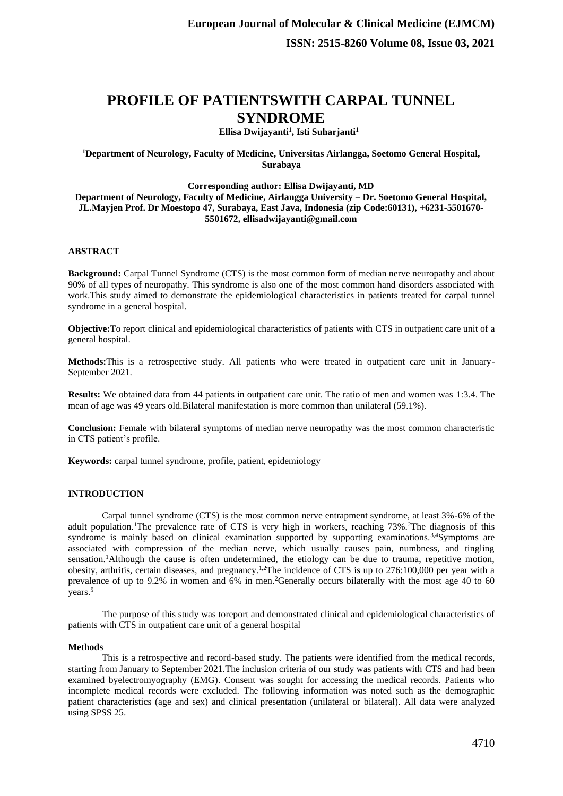# **PROFILE OF PATIENTSWITH CARPAL TUNNEL SYNDROME**

## **Ellisa Dwijayanti<sup>1</sup> , Isti Suharjanti<sup>1</sup>**

## **<sup>1</sup>Department of Neurology, Faculty of Medicine, Universitas Airlangga, Soetomo General Hospital, Surabaya**

### **Corresponding author: Ellisa Dwijayanti, MD**

**Department of Neurology, Faculty of Medicine, Airlangga University – Dr. Soetomo General Hospital, JL.Mayjen Prof. Dr Moestopo 47, Surabaya, East Java, Indonesia (zip Code:60131), +6231-5501670- 5501672, ellisadwijayanti@gmail.com**

## **ABSTRACT**

**Background:** Carpal Tunnel Syndrome (CTS) is the most common form of median nerve neuropathy and about 90% of all types of neuropathy. This syndrome is also one of the most common hand disorders associated with work.This study aimed to demonstrate the epidemiological characteristics in patients treated for carpal tunnel syndrome in a general hospital.

**Objective:**To report clinical and epidemiological characteristics of patients with CTS in outpatient care unit of a general hospital.

**Methods:**This is a retrospective study. All patients who were treated in outpatient care unit in January-September 2021.

**Results:** We obtained data from 44 patients in outpatient care unit. The ratio of men and women was 1:3.4. The mean of age was 49 years old.Bilateral manifestation is more common than unilateral (59.1%).

**Conclusion:** Female with bilateral symptoms of median nerve neuropathy was the most common characteristic in CTS patient's profile.

**Keywords:** carpal tunnel syndrome, profile, patient, epidemiology

## **INTRODUCTION**

Carpal tunnel syndrome (CTS) is the most common nerve entrapment syndrome, at least 3%-6% of the adult population.<sup>1</sup>The prevalence rate of CTS is very high in workers, reaching 73%.<sup>2</sup>The diagnosis of this syndrome is mainly based on clinical examination supported by supporting examinations.<sup>3,4</sup>Symptoms are associated with compression of the median nerve, which usually causes pain, numbness, and tingling sensation.<sup>1</sup>Although the cause is often undetermined, the etiology can be due to trauma, repetitive motion, obesity, arthritis, certain diseases, and pregnancy.1,2The incidence of CTS is up to 276:100,000 per year with a prevalence of up to 9.2% in women and 6% in men.<sup>2</sup>Generally occurs bilaterally with the most age 40 to 60 years.<sup>5</sup>

The purpose of this study was toreport and demonstrated clinical and epidemiological characteristics of patients with CTS in outpatient care unit of a general hospital

#### **Methods**

This is a retrospective and record-based study. The patients were identified from the medical records, starting from January to September 2021.The inclusion criteria of our study was patients with CTS and had been examined byelectromyography (EMG). Consent was sought for accessing the medical records. Patients who incomplete medical records were excluded. The following information was noted such as the demographic patient characteristics (age and sex) and clinical presentation (unilateral or bilateral). All data were analyzed using SPSS 25.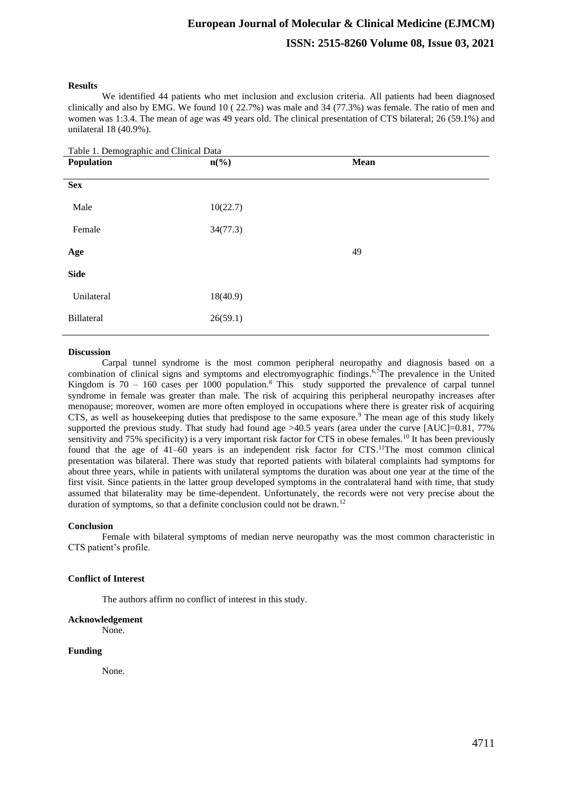# **European Journal of Molecular & Clinical Medicine (EJMCM) ISSN: 2515-8260 Volume 08, Issue 03, 2021**

#### **Results**

We identified 44 patients who met inclusion and exclusion criteria. All patients had been diagnosed clinically and also by EMG. We found 10 ( 22.7%) was male and 34 (77.3%) was female. The ratio of men and women was 1:3.4. The mean of age was 49 years old. The clinical presentation of CTS bilateral; 26 (59.1%) and unilateral 18 (40.9%).

| Table 1. Demographic and Clinical Data |                             |             |
|----------------------------------------|-----------------------------|-------------|
| Population                             | $n\left(\frac{6}{6}\right)$ | <b>Mean</b> |
|                                        |                             |             |
| <b>Sex</b>                             |                             |             |
| Male                                   | 10(22.7)                    |             |
| Female                                 | 34(77.3)                    |             |
| Age                                    |                             | 49          |
| <b>Side</b>                            |                             |             |
| Unilateral                             | 18(40.9)                    |             |
| Billateral                             | 26(59.1)                    |             |
|                                        |                             |             |

#### **Discussion**

Carpal tunnel syndrome is the most common peripheral neuropathy and diagnosis based on a combination of clinical signs and symptoms and electromyographic findings.<sup>6,7</sup>The prevalence in the United Kingdom is  $70 - 160$  cases per 1000 population.<sup>8</sup> This study supported the prevalence of carpal tunnel syndrome in female was greater than male. The risk of acquiring this peripheral neuropathy increases after menopause; moreover, women are more often employed in occupations where there is greater risk of acquiring CTS, as well as housekeeping duties that predispose to the same exposure.<sup>9</sup> The mean age of this study likely supported the previous study. That study had found age  $>40.5$  years (area under the curve [AUC]=0.81, 77% sensitivity and 75% specificity) is a very important risk factor for CTS in obese females.<sup>10</sup> It has been previously found that the age of 41–60 years is an independent risk factor for CTS.<sup>11</sup>The most common clinical presentation was bilateral. There was study that reported patients with bilateral complaints had symptoms for about three years, while in patients with unilateral symptoms the duration was about one year at the time of the first visit. Since patients in the latter group developed symptoms in the contralateral hand with time, that study assumed that bilaterality may be time-dependent. Unfortunately, the records were not very precise about the duration of symptoms, so that a definite conclusion could not be drawn.<sup>12</sup>

#### **Conclusion**

Female with bilateral symptoms of median nerve neuropathy was the most common characteristic in CTS patient's profile.

## **Conflict of Interest**

The authors affirm no conflict of interest in this study.

### **Acknowledgement**

None.

## **Funding**

None.